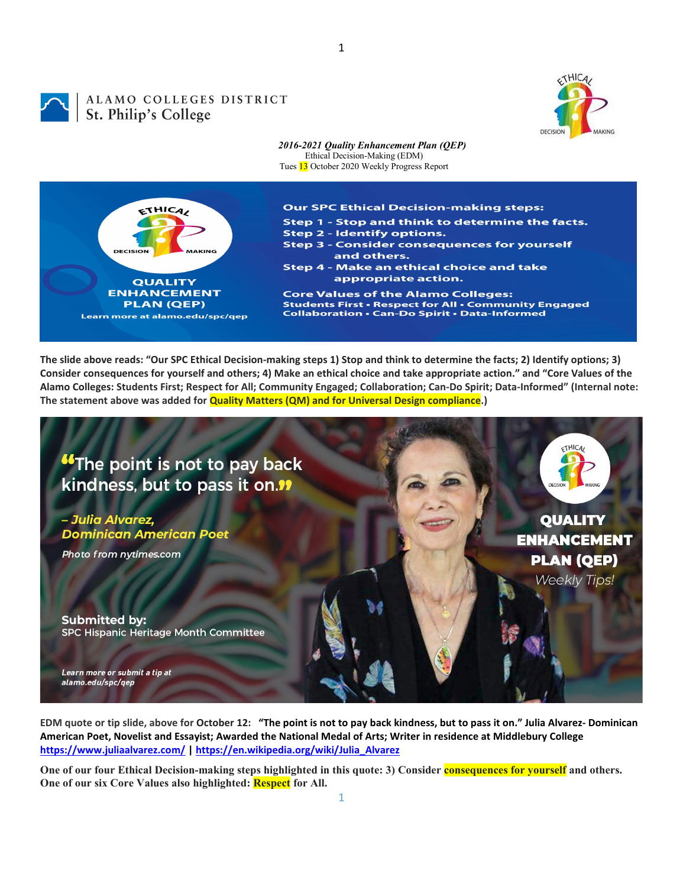

## ALAMO COLLEGES DISTRICT ALAMO COLLEGES



**The slide above reads: "Our SPC Ethical Decision-making steps 1) Stop and think to determine the facts; 2) Identify options; 3) Consider consequences for yourself and others; 4) Make an ethical choice and take appropriate action." and "Core Values of the Alamo Colleges: Students First; Respect for All; Community Engaged; Collaboration; Can-Do Spirit; Data-Informed" (Internal note: The statement above was added for Quality Matters (QM) and for Universal Design compliance.)**



**EDM quote or tip slide, above for October 12: "The point is not to pay back kindness, but to pass it on." Julia Alvarez- Dominican American Poet, Novelist and Essayist; Awarded the National Medal of Arts; Writer in residence at Middlebury College <https://www.juliaalvarez.com/> [| https://en.wikipedia.org/wiki/Julia\\_Alvarez](https://en.wikipedia.org/wiki/Julia_Alvarez)**

One of our four Ethical Decision-making steps highlighted in this quote: 3) Consider **consequences for yourself** and others. **One of our six Core Values also highlighted: Respect for All.**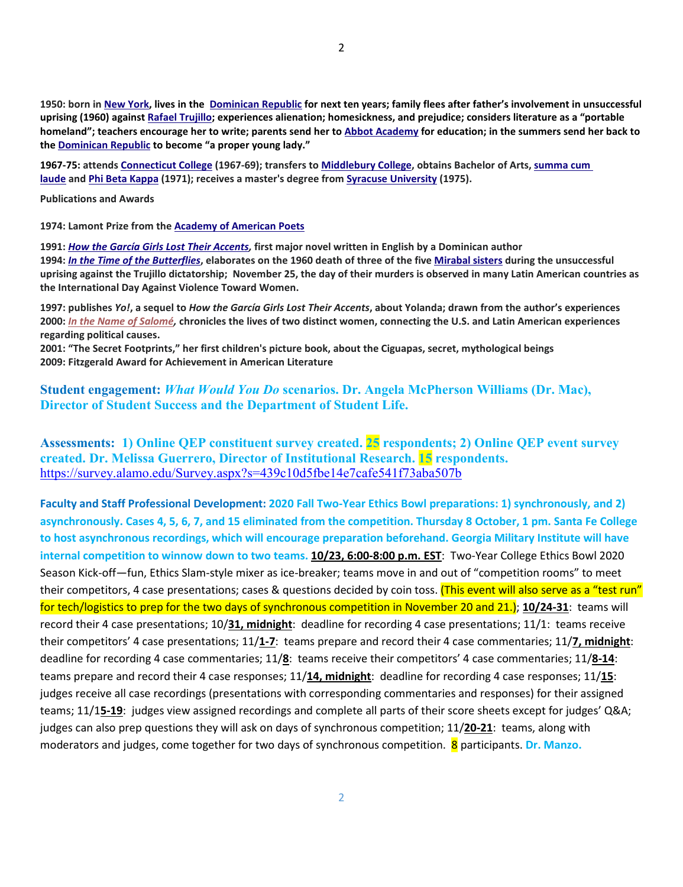**1950: born i[n New York,](https://en.wikipedia.org/wiki/New_York_City) lives in the [Dominican Republic](https://en.wikipedia.org/wiki/Dominican_Republic) for next ten years; family flees after father's involvement in unsuccessful uprising (1960) agains[t Rafael Trujillo;](https://en.wikipedia.org/wiki/Rafael_Trujillo) experiences alienation; homesickness, and prejudice; considers literature as a "portable homeland"; teachers encourage her to write; parents send her t[o Abbot Academy](https://en.wikipedia.org/wiki/Abbot_Academy) for education; in the summers send her back to the [Dominican Republic](https://en.wikipedia.org/wiki/Dominican_Republic) to become "a proper young lady."**

**1967-75: attends [Connecticut College](https://en.wikipedia.org/wiki/Connecticut_College) (1967-69); transfers to [Middlebury College,](https://en.wikipedia.org/wiki/Middlebury_College) obtains Bachelor of Arts, [summa cum](https://en.wikipedia.org/wiki/Summa_cum_laude)  [laude](https://en.wikipedia.org/wiki/Summa_cum_laude) and [Phi Beta Kappa](https://en.wikipedia.org/wiki/Phi_Beta_Kappa_Society) (1971); receives a master's degree from [Syracuse University](https://en.wikipedia.org/wiki/Syracuse_University) (1975).**

**Publications and Awards**

**1974: Lamont Prize from the [Academy of American Poets](https://en.wikipedia.org/wiki/Academy_of_American_Poets)**

**1991:** *[How the García Girls Lost Their Accents,](https://en.wikipedia.org/wiki/How_the_Garc%C3%ADa_Girls_Lost_Their_Accents)* **first major novel written in English by a Dominican author 1994:** *[In the Time of the Butterflies](https://en.wikipedia.org/wiki/In_the_Time_of_the_Butterflies)***, elaborates on the 1960 death of three of the five [Mirabal sisters](https://en.wikipedia.org/wiki/Mirabal_sisters) during the unsuccessful uprising against the Trujillo dictatorship; November 25, the day of their murders is observed in many Latin American countries as the International Day Against Violence Toward Women.**

**1997: publishes** *Yo!***, a sequel to** *How the García Girls Lost Their Accents***, about Yolanda; drawn from the author's experiences 2000:** *[In the Name of Salomé,](https://en.wikipedia.org/w/index.php?title=In_the_Name_of_Salom%C3%A9&action=edit&redlink=1)* **chronicles the lives of two distinct women, connecting the U.S. and Latin American experiences regarding political causes.**

**2001: "The Secret Footprints," her first children's picture book, about the Ciguapas, secret, mythological beings 2009: Fitzgerald Award for Achievement in American Literature**

**Student engagement:** *What Would You Do* **scenarios. Dr. Angela McPherson Williams (Dr. Mac), Director of Student Success and the Department of Student Life.**

**Assessments: 1) Online QEP constituent survey created. 25 respondents; 2) Online QEP event survey created. Dr. Melissa Guerrero, Director of Institutional Research. 15 respondents.**  <https://survey.alamo.edu/Survey.aspx?s=439c10d5fbe14e7cafe541f73aba507b>

**Faculty and Staff Professional Development: 2020 Fall Two-Year Ethics Bowl preparations: 1) synchronously, and 2) asynchronously. Cases 4, 5, 6, 7, and 15 eliminated from the competition. Thursday 8 October, 1 pm. Santa Fe College to host asynchronous recordings, which will encourage preparation beforehand. Georgia Military Institute will have internal competition to winnow down to two teams. 10/23, 6:00-8:00 p.m. EST**: Two-Year College Ethics Bowl 2020 Season Kick-off—fun, Ethics Slam-style mixer as ice-breaker; teams move in and out of "competition rooms" to meet their competitors, 4 case presentations; cases & questions decided by coin toss. (This event will also serve as a "test run" for tech/logistics to prep for the two days of synchronous competition in November 20 and 21.); **10/24-31**: teams will record their 4 case presentations; 10/**31, midnight**: deadline for recording 4 case presentations; 11/1: teams receive their competitors' 4 case presentations; 11/**1-7**: teams prepare and record their 4 case commentaries; 11/**7, midnight**: deadline for recording 4 case commentaries; 11/**8**: teams receive their competitors' 4 case commentaries; 11/**8-14**: teams prepare and record their 4 case responses; 11/**14, midnight**: deadline for recording 4 case responses; 11/**15**: judges receive all case recordings (presentations with corresponding commentaries and responses) for their assigned teams; 11/1**5-19**: judges view assigned recordings and complete all parts of their score sheets except for judges' Q&A; judges can also prep questions they will ask on days of synchronous competition; 11/**20-21**: teams, along with moderators and judges, come together for two days of synchronous competition. 8 participants. **Dr. Manzo.**